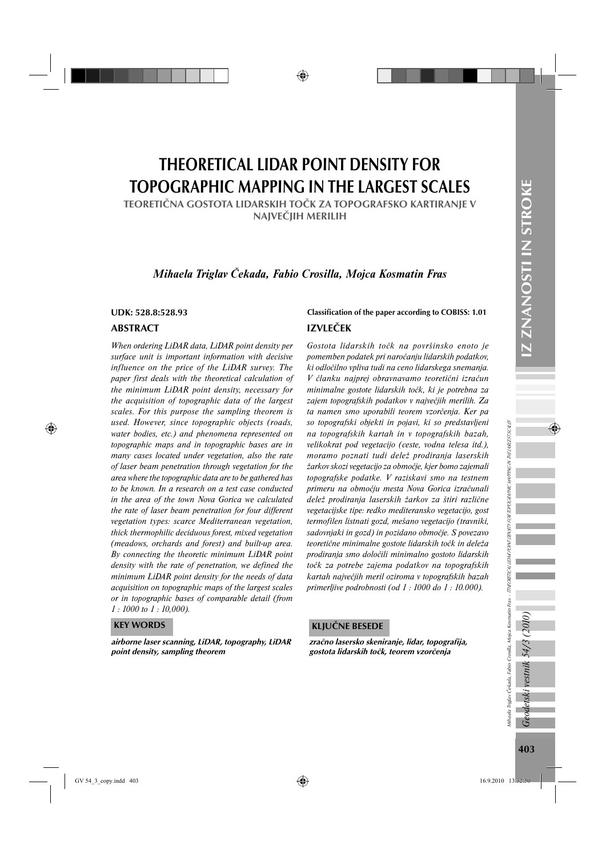# THEORETICAL LIDAR POINT DENSITY FOR TOPOGRAPHIC MAPPING IN THE LARGEST SCALES

TEORETIČNA GOSTOTA LIDARSKIH TOČK ZA TOPOGRAFSKO KARTIRANJE V NAJVEČJIH MERILIH

# *Mihaela Triglav Čekada, Fabio Crosilla, Mojca Kosmatin Fras*

## ABSTRACT

*When ordering LiDAR data, LiDAR point density per surface unit is important information with decisive influence on the price of the LiDAR survey. The paper first deals with the theoretical calculation of the minimum LiDAR point density, necessary for the acquisition of topographic data of the largest scales. For this purpose the sampling theorem is used. However, since topographic objects (roads, water bodies, etc.) and phenomena represented on topographic maps and in topographic bases are in many cases located under vegetation, also the rate of laser beam penetration through vegetation for the area where the topographic data are to be gathered has to be known. In a research on a test case conducted in the area of the town Nova Gorica we calculated the rate of laser beam penetration for four different vegetation types: scarce Mediterranean vegetation, thick thermophilic deciduous forest, mixed vegetation (meadows, orchards and forest) and built-up area. By connecting the theoretic minimum LiDAR point density with the rate of penetration, we defined the minimum LiDAR point density for the needs of data acquisition on topographic maps of the largest scales or in topographic bases of comparable detail (from 1 : 1000 to 1 : 10,000).*

#### KEY WORDS

airborne laser scanning, LiDAR, topography, LiDAR point density, sampling theorem

## UDK: 528.8:528.93 Classification of the paper according to COBISS: 1.01

# IZVLEČEK

*Gostota lidarskih točk na površinsko enoto je pomemben podatek pri naročanju lidarskih podatkov, ki odločilno vpliva tudi na ceno lidarskega snemanja. V članku najprej obravnavamo teoretični izračun minimalne gostote lidarskih točk, ki je potrebna za zajem topografskih podatkov v največjih merilih. Za ta namen smo uporabili teorem vzorčenja. Ker pa so topografski objekti in pojavi, ki so predstavljeni na topografskih kartah in v topografskih bazah, velikokrat pod vegetacijo (ceste, vodna telesa itd.), moramo poznati tudi delež prodiranja laserskih žarkov skozi vegetacijo za območje, kjer bomo zajemali topografske podatke. V raziskavi smo na testnem primeru na območju mesta Nova Gorica izračunali delež prodiranja laserskih žarkov za štiri različne vegetacijske tipe: redko mediteransko vegetacijo, gost termofilen listnati gozd, mešano vegetacijo (travniki, sadovnjaki in gozd) in pozidano območje. S povezavo teoretične minimalne gostote lidarskih točk in deleža prodiranja smo določili minimalno gostoto lidarskih točk za potrebe zajema podatkov na topografskih kartah največjih meril oziroma v topografskih bazah primerljive podrobnosti (od 1 : 1000 do 1 : 10.000).*

#### KLJUČNE BESEDE

zračno lasersko skeniranje, lidar, topografija, gostota lidarskih točk, teorem vzorčenja

Mihaela Triglav Čekada, Fabio Crosilla, Mojca Kosmatin Fras - TTHEORETICAL LIDAR POINT DENSITY FOR TOPOGRAPHIC MAPPING IN THE LARGEST SCALES

ulhaela Triglav Čekada, Fabio Crosilla, Mojca Kosmatin Fras - *ThtEORETICAL ILDAR PONT DENSTRY TRA TOPOGRAPHK NAPING NTHE URESTSCALE*S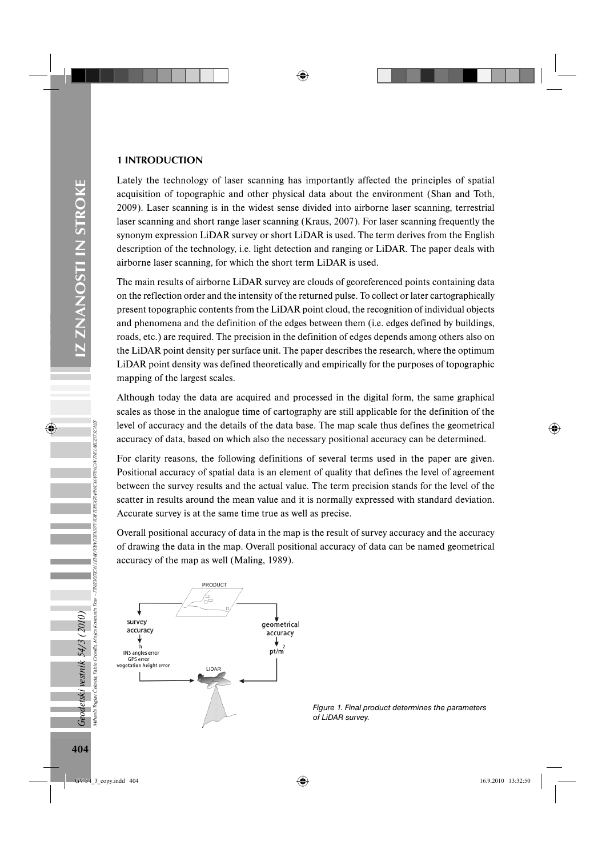# 1 INTRODUCTION

Lately the technology of laser scanning has importantly affected the principles of spatial acquisition of topographic and other physical data about the environment (Shan and Toth, 2009). Laser scanning is in the widest sense divided into airborne laser scanning, terrestrial laser scanning and short range laser scanning (Kraus, 2007). For laser scanning frequently the synonym expression LiDAR survey or short LiDAR is used. The term derives from the English description of the technology, i.e. light detection and ranging or LiDAR. The paper deals with airborne laser scanning, for which the short term LiDAR is used.

The main results of airborne LiDAR survey are clouds of georeferenced points containing data on the reflection order and the intensity of the returned pulse. To collect or later cartographically present topographic contents from the LiDAR point cloud, the recognition of individual objects and phenomena and the definition of the edges between them (i.e. edges defined by buildings, roads, etc.) are required. The precision in the definition of edges depends among others also on the LiDAR point density per surface unit. The paper describes the research, where the optimum LiDAR point density was defined theoretically and empirically for the purposes of topographic mapping of the largest scales.

Although today the data are acquired and processed in the digital form, the same graphical scales as those in the analogue time of cartography are still applicable for the definition of the level of accuracy and the details of the data base. The map scale thus defines the geometrical accuracy of data, based on which also the necessary positional accuracy can be determined.

For clarity reasons, the following definitions of several terms used in the paper are given. Positional accuracy of spatial data is an element of quality that defines the level of agreement between the survey results and the actual value. The term precision stands for the level of the scatter in results around the mean value and it is normally expressed with standard deviation. Accurate survey is at the same time true as well as precise.

Overall positional accuracy of data in the map is the result of survey accuracy and the accuracy of drawing the data in the map. Overall positional accuracy of data can be named geometrical accuracy of the map as well (Maling, 1989).



*Figure 1. Final product determines the parameters of LiDAR survey.*

**Geodetski vestnik 54/3 (2010)**<br><sub>Mihaela Tiglav Čekada, Fabio Crosilla, Mojca Kosmali</sub>

Mihaela Triglav Čekada, Fabio Crosilla, Mojca Kosmatin Fras - TTHEORETICAL LIDAR POINT DENSITY FOR TOPOGRAPHIC MAPPING IN THE LARGEST SCALES

matin Fras - TTHEORETICAL LIDAR PONT DENSITY FOR TOPOGRAPHIC MAPPING IN THELARCEST SCHLES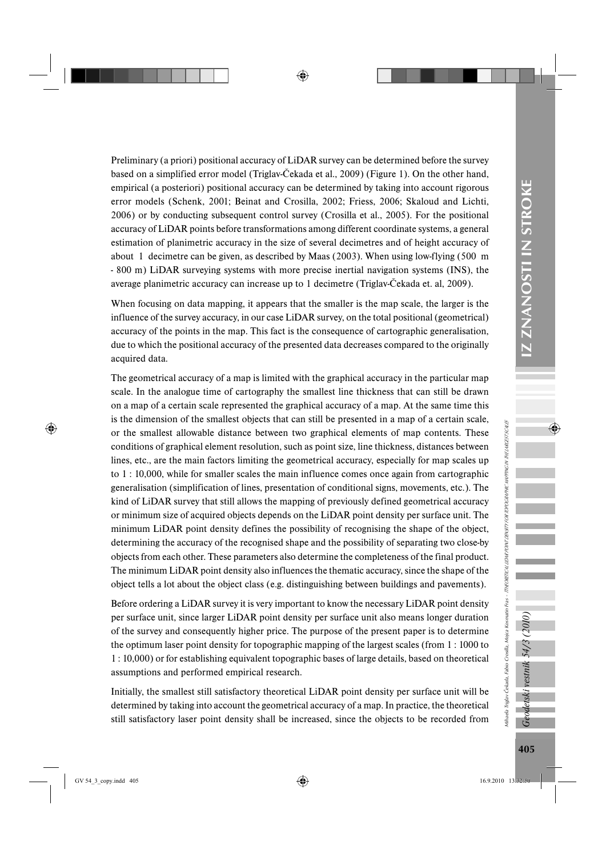Preliminary (a priori) positional accuracy of LiDAR survey can be determined before the survey based on a simplified error model (Triglav-Čekada et al., 2009) (Figure 1). On the other hand, empirical (a posteriori) positional accuracy can be determined by taking into account rigorous error models (Schenk, 2001; Beinat and Crosilla, 2002; Friess, 2006; Skaloud and Lichti, 2006) or by conducting subsequent control survey (Crosilla et al., 2005). For the positional accuracy of LiDAR points before transformations among different coordinate systems, a general estimation of planimetric accuracy in the size of several decimetres and of height accuracy of about 1 decimetre can be given, as described by Maas (2003). When using low-flying (500 m - 800 m) LiDAR surveying systems with more precise inertial navigation systems (INS), the average planimetric accuracy can increase up to 1 decimetre (Triglav-Čekada et. al, 2009).

When focusing on data mapping, it appears that the smaller is the map scale, the larger is the influence of the survey accuracy, in our case LiDAR survey, on the total positional (geometrical) accuracy of the points in the map. This fact is the consequence of cartographic generalisation, due to which the positional accuracy of the presented data decreases compared to the originally acquired data.

The geometrical accuracy of a map is limited with the graphical accuracy in the particular map scale. In the analogue time of cartography the smallest line thickness that can still be drawn on a map of a certain scale represented the graphical accuracy of a map. At the same time this is the dimension of the smallest objects that can still be presented in a map of a certain scale, or the smallest allowable distance between two graphical elements of map contents. These conditions of graphical element resolution, such as point size, line thickness, distances between lines, etc., are the main factors limiting the geometrical accuracy, especially for map scales up to 1 : 10,000, while for smaller scales the main influence comes once again from cartographic generalisation (simplification of lines, presentation of conditional signs, movements, etc.). The kind of LiDAR survey that still allows the mapping of previously defined geometrical accuracy or minimum size of acquired objects depends on the LiDAR point density per surface unit. The minimum LiDAR point density defines the possibility of recognising the shape of the object, determining the accuracy of the recognised shape and the possibility of separating two close-by objects from each other. These parameters also determine the completeness of the final product. The minimum LiDAR point density also influences the thematic accuracy, since the shape of the object tells a lot about the object class (e.g. distinguishing between buildings and pavements).

Before ordering a LiDAR survey it is very important to know the necessary LiDAR point density per surface unit, since larger LiDAR point density per surface unit also means longer duration of the survey and consequently higher price. The purpose of the present paper is to determine the optimum laser point density for topographic mapping of the largest scales (from 1 : 1000 to 1 : 10,000) or for establishing equivalent topographic bases of large details, based on theoretical assumptions and performed empirical research.

Initially, the smallest still satisfactory theoretical LiDAR point density per surface unit will be determined by taking into account the geometrical accuracy of a map. In practice, the theoretical still satisfactory laser point density shall be increased, since the objects to be recorded from Geodetski vestnik 54/3 (2010)

Mihaela Triglav Čekada, Fabio Crosilla, Mojca Kosmatin Fras - TTHEORETICAL LIDAR POINT DENSITY FOR TOPOGRAPHIC MAPPING IN THE LARGEST SCALES

ulhaela Triglav Čekada, Fabio Crosilla, Mojca Kosmatin Fras - *TTHEORETICAL LIDAR PONT DENSTRY RA TOPOGRAPHK NAPINC NTHE VAREST SCALE*S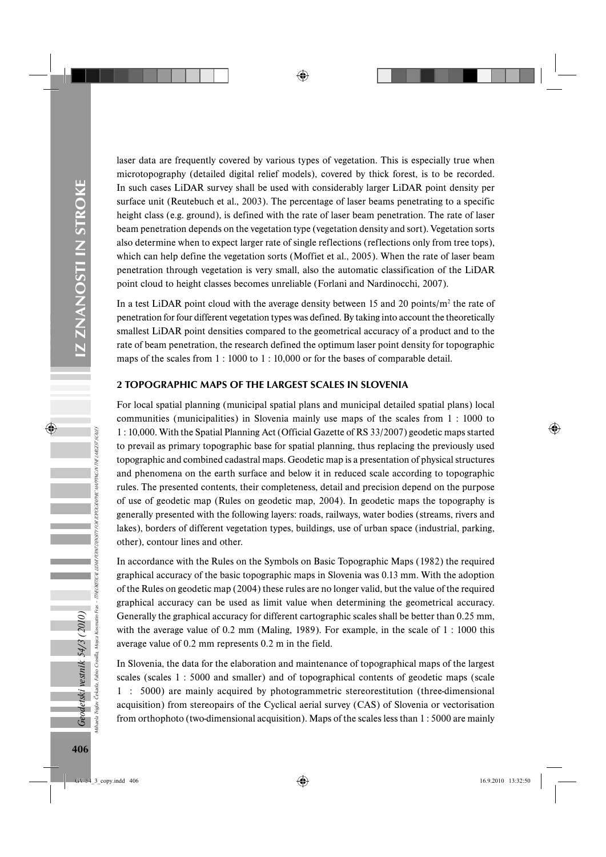laser data are frequently covered by various types of vegetation. This is especially true when microtopography (detailed digital relief models), covered by thick forest, is to be recorded. In such cases LiDAR survey shall be used with considerably larger LiDAR point density per surface unit (Reutebuch et al., 2003). The percentage of laser beams penetrating to a specific height class (e.g. ground), is defined with the rate of laser beam penetration. The rate of laser beam penetration depends on the vegetation type (vegetation density and sort). Vegetation sorts also determine when to expect larger rate of single reflections (reflections only from tree tops), which can help define the vegetation sorts (Moffiet et al., 2005). When the rate of laser beam penetration through vegetation is very small, also the automatic classification of the LiDAR point cloud to height classes becomes unreliable (Forlani and Nardinocchi, 2007).

In a test LiDAR point cloud with the average density between 15 and 20 points/ $m^2$  the rate of penetration for four different vegetation types was defined. By taking into account the theoretically smallest LiDAR point densities compared to the geometrical accuracy of a product and to the rate of beam penetration, the research defined the optimum laser point density for topographic maps of the scales from 1 : 1000 to 1 : 10,000 or for the bases of comparable detail.

## 2 TOPOGRAPHIC MAPS OF THE LARGEST SCALES IN SLOVENIA

For local spatial planning (municipal spatial plans and municipal detailed spatial plans) local communities (municipalities) in Slovenia mainly use maps of the scales from 1 : 1000 to 1 : 10,000. With the Spatial Planning Act (Official Gazette of RS 33/2007) geodetic maps started to prevail as primary topographic base for spatial planning, thus replacing the previously used topographic and combined cadastral maps. Geodetic map is a presentation of physical structures and phenomena on the earth surface and below it in reduced scale according to topographic rules. The presented contents, their completeness, detail and precision depend on the purpose of use of geodetic map (Rules on geodetic map, 2004). In geodetic maps the topography is generally presented with the following layers: roads, railways, water bodies (streams, rivers and lakes), borders of different vegetation types, buildings, use of urban space (industrial, parking, other), contour lines and other.

In accordance with the Rules on the Symbols on Basic Topographic Maps (1982) the required graphical accuracy of the basic topographic maps in Slovenia was 0.13 mm. With the adoption of the Rules on geodetic map (2004) these rules are no longer valid, but the value of the required graphical accuracy can be used as limit value when determining the geometrical accuracy. Generally the graphical accuracy for different cartographic scales shall be better than 0.25 mm, with the average value of 0.2 mm (Maling, 1989). For example, in the scale of 1 : 1000 this average value of 0.2 mm represents 0.2 m in the field.

In Slovenia, the data for the elaboration and maintenance of topographical maps of the largest scales (scales 1 : 5000 and smaller) and of topographical contents of geodetic maps (scale 1 : 5000) are mainly acquired by photogrammetric stereorestitution (three-dimensional acquisition) from stereopairs of the Cyclical aerial survey (CAS) of Slovenia or vectorisation from orthophoto (two-dimensional acquisition). Maps of the scales less than 1 : 5000 are mainly

Geodetski vestnik 54/3 (2010) Fabio Crosilla.

Mihaela Triglav Čekada, Fabio Crosilla, Mojca Kosmatin Fras - TTHEORETICAL LIDAR POINT DENSITY FOR TOPOGRAPHIC MAPPING IN THE LARGEST SCALES

Fras - TTHEORETICAL LIDAR POINT DENSITY FOR TOPOGRAPHIC MAPPING IN THE LARCEST SCALES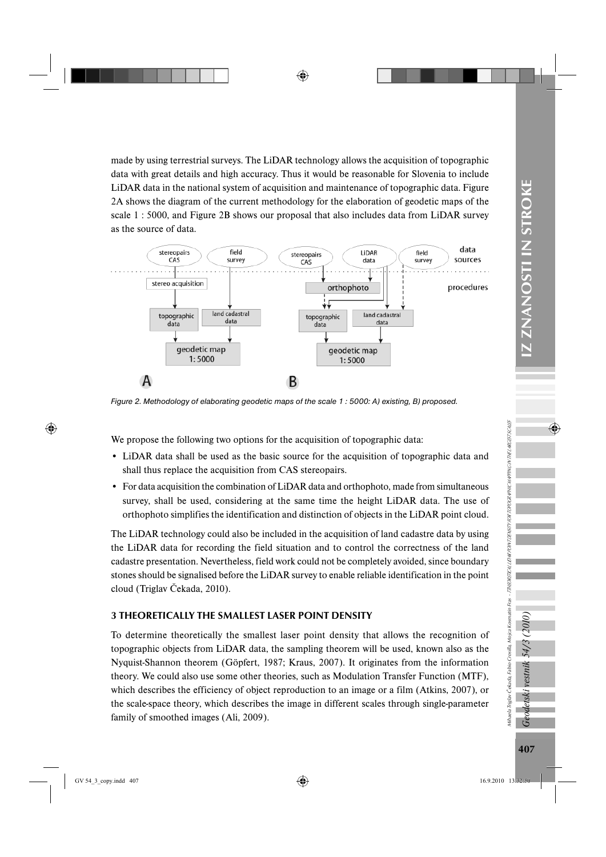IZ ZNANOSTI IN STROKE 407*Geodetski vestnik 54/3 (2010)* IZ ZNANOSTI IN STROKE

made by using terrestrial surveys. The LiDAR technology allows the acquisition of topographic data with great details and high accuracy. Thus it would be reasonable for Slovenia to include LiDAR data in the national system of acquisition and maintenance of topographic data. Figure 2A shows the diagram of the current methodology for the elaboration of geodetic maps of the scale 1 : 5000, and Figure 2B shows our proposal that also includes data from LiDAR survey as the source of data.



*Figure 2. Methodology of elaborating geodetic maps of the scale 1 : 5000: A) existing, B) proposed.*

We propose the following two options for the acquisition of topographic data:

- LiDAR data shall be used as the basic source for the acquisition of topographic data and shall thus replace the acquisition from CAS stereopairs.
- For data acquisition the combination of LiDAR data and orthophoto, made from simultaneous survey, shall be used, considering at the same time the height LiDAR data. The use of orthophoto simplifies the identification and distinction of objects in the LiDAR point cloud.

The LiDAR technology could also be included in the acquisition of land cadastre data by using the LiDAR data for recording the field situation and to control the correctness of the land cadastre presentation. Nevertheless, field work could not be completely avoided, since boundary stones should be signalised before the LiDAR survey to enable reliable identification in the point cloud (Triglav Čekada, 2010).

# 3 THEORETICALLY THE SMALLEST LASER POINT DENSITY

To determine theoretically the smallest laser point density that allows the recognition of topographic objects from LiDAR data, the sampling theorem will be used, known also as the Nyquist-Shannon theorem (Göpfert, 1987; Kraus, 2007). It originates from the information theory. We could also use some other theories, such as Modulation Transfer Function (MTF), which describes the efficiency of object reproduction to an image or a film (Atkins, 2007), or the scale-space theory, which describes the image in different scales through single-parameter family of smoothed images (Ali, 2009).

Geodetski vestnik 54/3

Mihaela Triglav Čekada, Fabio Crosilla, Mojca Kosmatin Fras - TTHEORETICAL LIDAR POINT DENSITY FOR TOPOGRAPHIC MAPPING IN THE LARGEST SCALES

uihaela Triglav Čekada, Fabio Crosilla, Mojca Kosmatin Fras - *TIHEORETICAL LIBAR PONT DENSITY FOR TOPOGRAPHIC MAPING MELARGST SCALES*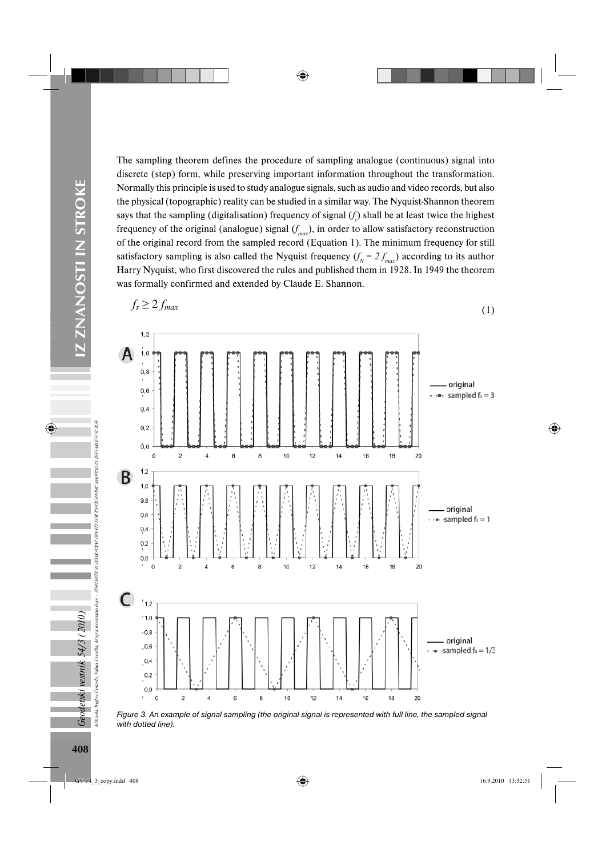The sampling theorem defines the procedure of sampling analogue (continuous) signal into discrete (step) form, while preserving important information throughout the transformation. Normally this principle is used to study analogue signals, such as audio and video records, but also the physical (topographic) reality can be studied in a similar way. The Nyquist-Shannon theorem says that the sampling (digitalisation) frequency of signal  $(f_s)$  shall be at least twice the highest frequency of the original (analogue) signal (*f max*), in order to allow satisfactory reconstruction of the original record from the sampled record (Equation 1). The minimum frequency for still satisfactory sampling is also called the Nyquist frequency  $(f_N = 2 f_{max})$  according to its author Harry Nyquist, who first discovered the rules and published them in 1928. In 1949 the theorem was formally confirmed and extended by Claude E. Shannon.



*Figure 3. An example of signal sampling (the original signal is represented with full line, the sampled signal with dotted line).* 

Geodetski vestnik 54/3 (2010)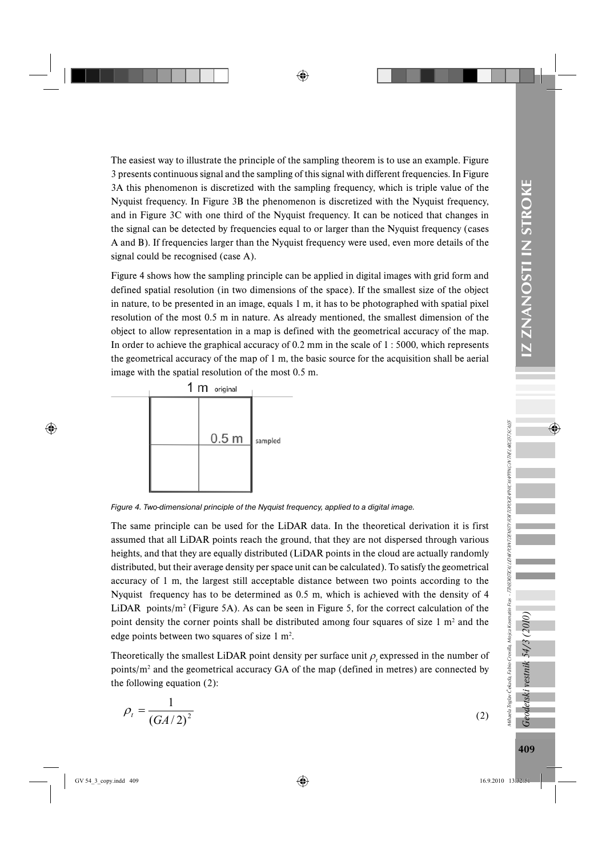The easiest way to illustrate the principle of the sampling theorem is to use an example. Figure 3 presents continuous signal and the sampling of this signal with different frequencies. In Figure 3A this phenomenon is discretized with the sampling frequency, which is triple value of the Nyquist frequency. In Figure 3B the phenomenon is discretized with the Nyquist frequency, and in Figure 3C with one third of the Nyquist frequency. It can be noticed that changes in the signal can be detected by frequencies equal to or larger than the Nyquist frequency (cases A and B). If frequencies larger than the Nyquist frequency were used, even more details of the signal could be recognised (case A).

Figure 4 shows how the sampling principle can be applied in digital images with grid form and defined spatial resolution (in two dimensions of the space). If the smallest size of the object in nature, to be presented in an image, equals 1 m, it has to be photographed with spatial pixel resolution of the most 0.5 m in nature. As already mentioned, the smallest dimension of the object to allow representation in a map is defined with the geometrical accuracy of the map. In order to achieve the graphical accuracy of 0.2 mm in the scale of 1 : 5000, which represents the geometrical accuracy of the map of 1 m, the basic source for the acquisition shall be aerial image with the spatial resolution of the most 0.5 m.



*Figure 4. Two-dimensional principle of the Nyquist frequency, applied to a digital image.*

The same principle can be used for the LiDAR data. In the theoretical derivation it is first assumed that all LiDAR points reach the ground, that they are not dispersed through various heights, and that they are equally distributed (LiDAR points in the cloud are actually randomly distributed, but their average density per space unit can be calculated). To satisfy the geometrical accuracy of 1 m, the largest still acceptable distance between two points according to the Nyquist frequency has to be determined as 0.5 m, which is achieved with the density of 4 LiDAR points/ $m^2$  (Figure 5A). As can be seen in Figure 5, for the correct calculation of the point density the corner points shall be distributed among four squares of size  $1 \text{ m}^2$  and the edge points between two squares of size  $1 \text{ m}^2$ .

Theoretically the smallest LiDAR point density per surface unit  $\rho_t$  expressed in the number of points/ $m<sup>2</sup>$  and the geometrical accuracy GA of the map (defined in metres) are connected by the following equation (2):

$$
\rho_t = \frac{1}{\left(GA/2\right)^2} \tag{2}
$$

Geodetski vestnik 54/3 (2010)

Mihaela Triglav Čekada, Fabio Crosilla, Mojca Kosmatin Fras - TTHEORETICAL LIDAR POINT DENSITY FOR TOPOGRAPHIC MAPPING IN THE LARGEST SCALES

ulhaela Triglav Čekada, Fabio Crosilla, Mojca Kosmatin Fras - *TirkDRETICAL ILBARDINT DROSOR TOROGRAPHIC MAPPNGN THEL MCEST SCALES*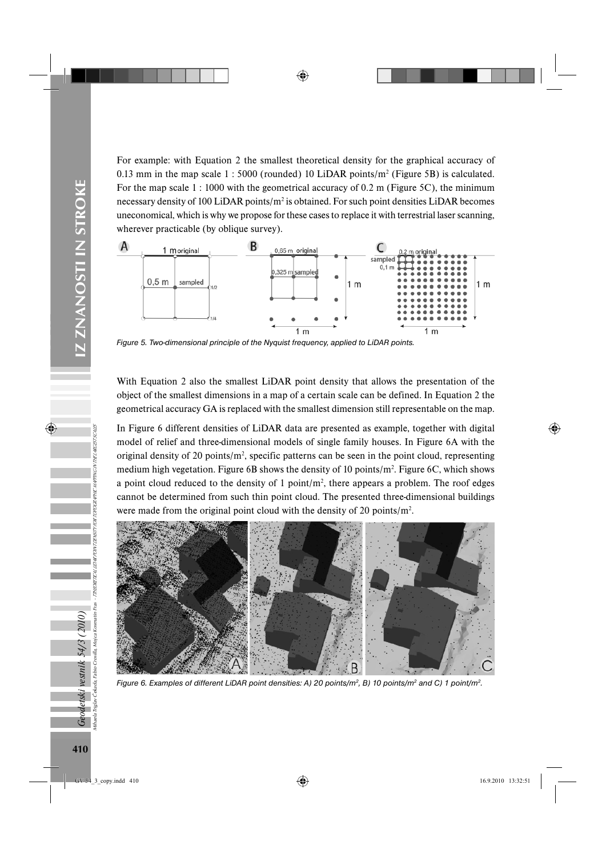For example: with Equation 2 the smallest theoretical density for the graphical accuracy of 0.13 mm in the map scale  $1:5000$  (rounded) 10 LiDAR points/m<sup>2</sup> (Figure 5B) is calculated. For the map scale 1:1000 with the geometrical accuracy of 0.2 m (Figure 5C), the minimum necessary density of 100 LiDAR points/ $m^2$  is obtained. For such point densities LiDAR becomes uneconomical, which is why we propose for these cases to replace it with terrestrial laser scanning, wherever practicable (by oblique survey).



*Figure 5. Two-dimensional principle of the Nyquist frequency, applied to LiDAR points.* 

With Equation 2 also the smallest LiDAR point density that allows the presentation of the object of the smallest dimensions in a map of a certain scale can be defined. In Equation 2 the geometrical accuracy GA is replaced with the smallest dimension still representable on the map.

In Figure 6 different densities of LiDAR data are presented as example, together with digital model of relief and three-dimensional models of single family houses. In Figure 6A with the original density of 20 points/ $m<sup>2</sup>$ , specific patterns can be seen in the point cloud, representing medium high vegetation. Figure 6B shows the density of 10 points/ $m^2$ . Figure 6C, which shows a point cloud reduced to the density of 1 point/ $m^2$ , there appears a problem. The roof edges cannot be determined from such thin point cloud. The presented three-dimensional buildings were made from the original point cloud with the density of 20 points/ $m^2$ .



*Figure 6. Examples of different LiDAR point densities: A) 20 points/m2, B) 10 points/m2 and C) 1 point/m2.*

Mihaela Triglav Čekada, Fabio Crosilla, Mojca Kosmatin Fras - TTHEORETICAL LIDAR POINT DENSITY FOR TOPOGRAPHIC MAPPING IN THE LARGEST SCALES

.<br>Triglav Čekada, Fabio Crosilla, Mojca Kosmatin Fras - *ThitORETICAL.* 

Geodetski vestnik 54/3 (2010)<br><sup>dinala tridav česeta tabio</sup> crešla viniza komana

UDAR POINT DENSITY FOR TOPOGRAPHIC MAPPING IN THE LARGEST SCALES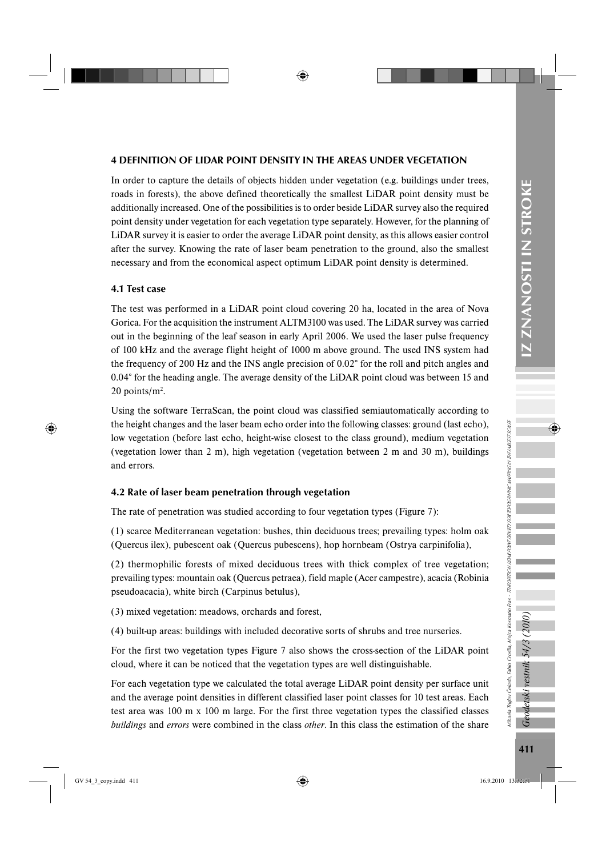# 4 DEFINITION OF LIDAR POINT DENSITY IN THE AREAS UNDER VEGETATION

In order to capture the details of objects hidden under vegetation (e.g. buildings under trees, roads in forests), the above defined theoretically the smallest LiDAR point density must be additionally increased. One of the possibilities is to order beside LiDAR survey also the required point density under vegetation for each vegetation type separately. However, for the planning of LiDAR survey it is easier to order the average LiDAR point density, as this allows easier control after the survey. Knowing the rate of laser beam penetration to the ground, also the smallest necessary and from the economical aspect optimum LiDAR point density is determined.

# 4.1 Test case

The test was performed in a LiDAR point cloud covering 20 ha, located in the area of Nova Gorica. For the acquisition the instrument ALTM3100 was used. The LiDAR survey was carried out in the beginning of the leaf season in early April 2006. We used the laser pulse frequency of 100 kHz and the average flight height of 1000 m above ground. The used INS system had the frequency of 200 Hz and the INS angle precision of 0.02° for the roll and pitch angles and 0.04° for the heading angle. The average density of the LiDAR point cloud was between 15 and  $20$  points/m<sup>2</sup>.

Using the software TerraScan, the point cloud was classified semiautomatically according to the height changes and the laser beam echo order into the following classes: ground (last echo), low vegetation (before last echo, height-wise closest to the class ground), medium vegetation (vegetation lower than 2 m), high vegetation (vegetation between 2 m and 30 m), buildings and errors.

# 4.2 Rate of laser beam penetration through vegetation

The rate of penetration was studied according to four vegetation types (Figure 7):

(1) scarce Mediterranean vegetation: bushes, thin deciduous trees; prevailing types: holm oak (Quercus ilex), pubescent oak (Quercus pubescens), hop hornbeam (Ostrya carpinifolia),

(2) thermophilic forests of mixed deciduous trees with thick complex of tree vegetation; prevailing types: mountain oak (Quercus petraea), field maple (Acer campestre), acacia (Robinia pseudoacacia), white birch (Carpinus betulus),

(3) mixed vegetation: meadows, orchards and forest,

(4) built-up areas: buildings with included decorative sorts of shrubs and tree nurseries.

For the first two vegetation types Figure 7 also shows the cross-section of the LiDAR point cloud, where it can be noticed that the vegetation types are well distinguishable.

For each vegetation type we calculated the total average LiDAR point density per surface unit and the average point densities in different classified laser point classes for 10 test areas. Each test area was 100 m x 100 m large. For the first three vegetation types the classified classes *buildings* and *errors* were combined in the class *other*. In this class the estimation of the share Mihaela Triglav Čekada, Fabio Crosilla, Mojca Kosmatin Fras - TTHEORETICAL LIDAR POINT DENSITY FOR TOPOGRAPHIC MAPPING IN THE LARGEST SCALES

Nihaela Triglav Čekada, Fabio Crosilla, Mojca Kosmatin Fras - *TTHEORETICAL LIDAR PONT DDNGR TOPOGRAPHK NAPING NTHE URCEST SCALE*S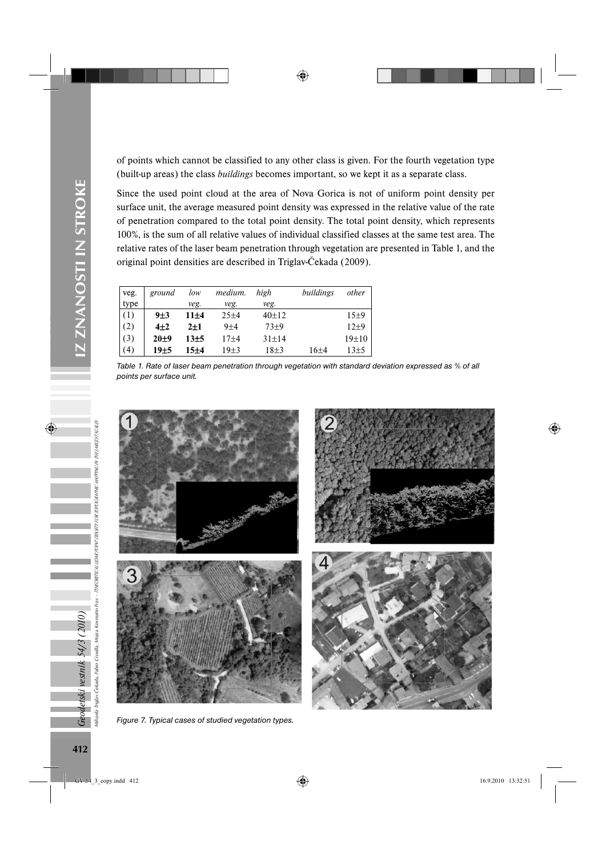of points which cannot be classified to any other class is given. For the fourth vegetation type (built-up areas) the class *buildings* becomes important, so we kept it as a separate class.

Since the used point cloud at the area of Nova Gorica is not of uniform point density per surface unit, the average measured point density was expressed in the relative value of the rate of penetration compared to the total point density. The total point density, which represents 100%, is the sum of all relative values of individual classified classes at the same test area. The relative rates of the laser beam penetration through vegetation are presented in Table 1, and the original point densities are described in Triglav-Čekada (2009).

| veg. | ground   | low      | medium.  | high        | buildings | other   |
|------|----------|----------|----------|-------------|-----------|---------|
| type |          | veg.     | veg.     | veg.        |           |         |
| (1)  | 9±3      | $11\pm4$ | $25+4$   | $40+12$     |           | 15±9    |
| (2)  | $4\pm 2$ | $2+1$    | $9 + 4$  | $73+9$      |           | $12+9$  |
| (3)  | $20 + 9$ | $13+5$   | $17 + 4$ | $31 \pm 14$ |           | $19+10$ |
| (4)  | 19±5     | $15 + 4$ | $19+3$   | $18+3$      | 16+4      | $13+5$  |

*Table 1. Rate of laser beam penetration through vegetation with standard deviation expressed as % of all points per surface unit.*



*Figure 7. Typical cases of studied vegetation types.*

Geodetski vestnik 54/3 (2010)

Mihaela Triglav Čekada, Fabio Crosilla, Mojca Kosmatin Fras - TTHEORETICAL LIDAR POINT DENSITY FOR TOPOGRAPHIC MAPPING IN THE LARGEST SCALES

riglav Čekada, Fabio Crosilla, Mojca Kosmatin Fras - *ThEORETICAL UDAR PONT DENSITI F.RA TOPOGRAPHE NAPING NTHE VAREST SCALE*S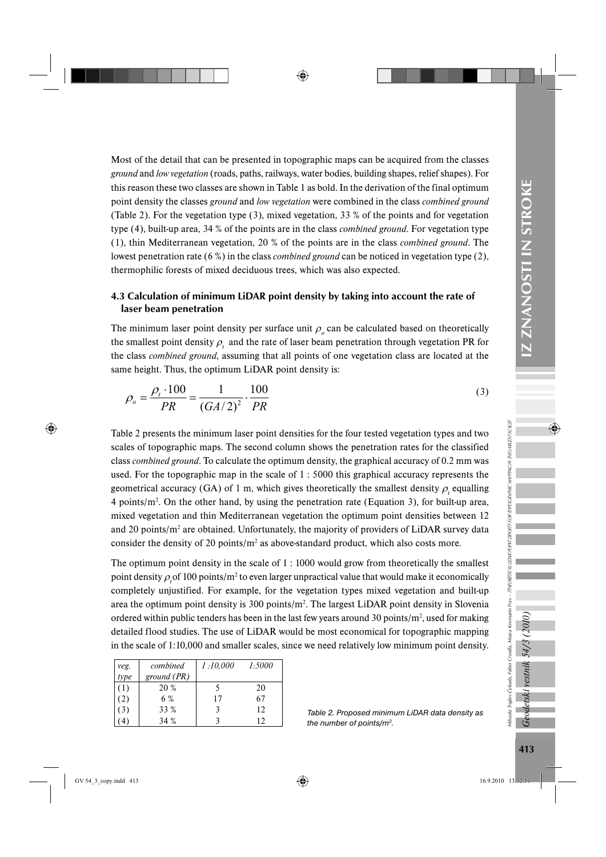Most of the detail that can be presented in topographic maps can be acquired from the classes *ground* and *low vegetation* (roads, paths, railways, water bodies, building shapes, relief shapes). For this reason these two classes are shown in Table 1 as bold. In the derivation of the final optimum point density the classes *ground* and *low vegetation* were combined in the class *combined ground*  (Table 2). For the vegetation type (3), mixed vegetation, 33 % of the points and for vegetation type (4), built-up area, 34 % of the points are in the class *combined ground*. For vegetation type (1), thin Mediterranean vegetation, 20 % of the points are in the class *combined ground*. The lowest penetration rate (6 %) in the class *combined ground* can be noticed in vegetation type (2), thermophilic forests of mixed deciduous trees, which was also expected.

# 4.3 Calculation of minimum LiDAR point density by taking into account the rate of laser beam penetration

The minimum laser point density per surface unit  $\rho_o$  can be calculated based on theoretically the smallest point density  $\rho_t$  and the rate of laser beam penetration through vegetation PR for the class *combined ground*, assuming that all points of one vegetation class are located at the same height. Thus, the optimum LiDAR point density is:

$$
\rho_o = \frac{\rho_i \cdot 100}{PR} = \frac{1}{(GA/2)^2} \cdot \frac{100}{PR}
$$
\n(3)

Table 2 presents the minimum laser point densities for the four tested vegetation types and two scales of topographic maps. The second column shows the penetration rates for the classified class *combined ground*. To calculate the optimum density, the graphical accuracy of 0.2 mm was used. For the topographic map in the scale of 1 : 5000 this graphical accuracy represents the geometrical accuracy (GA) of 1 m, which gives theoretically the smallest density  $\rho_t$  equalling 4 points/ $m^2$ . On the other hand, by using the penetration rate (Equation 3), for built-up area, mixed vegetation and thin Mediterranean vegetation the optimum point densities between 12 and 20 points/ $m<sup>2</sup>$  are obtained. Unfortunately, the majority of providers of LiDAR survey data consider the density of 20 points/ $m<sup>2</sup>$  as above-standard product, which also costs more.

The optimum point density in the scale of 1 : 1000 would grow from theoretically the smallest point density  $\rho_t$  of 100 points/m<sup>2</sup> to even larger unpractical value that would make it economically completely unjustified. For example, for the vegetation types mixed vegetation and built-up area the optimum point density is  $300$  points/ $m<sup>2</sup>$ . The largest LiDAR point density in Slovenia ordered within public tenders has been in the last few years around 30 points/ $m^2$ , used for making detailed flood studies. The use of LiDAR would be most economical for topographic mapping in the scale of 1:10,000 and smaller scales, since we need relatively low minimum point density.

| veg.             | combined      | 1:10,000 | 1:5000 |
|------------------|---------------|----------|--------|
| type             | ground $(PR)$ |          |        |
| $\left(1\right)$ | 20 %          |          | 20     |
| (2)              | 6 %           | 17       | 67     |
| (3)              | 33 %          |          | 12     |
|                  | 34 %          |          | 12     |

*Table 2. Proposed minimum LiDAR data density as the number of points/m2.*

Geodetski vestnik 54/3 (2010)

Mihaela Triglav Čekada, Fabio Crosilla, Mojca Kosmatin Fras - TTHEORETICAL LIDAR POINT DENSITY FOR TOPOGRAPHIC MAPPING IN THE LARGEST SCALES

Nihada Triglav Čekada, Fabio Crosilla, Mojca Kosmatin Fras - *TTHEORETICAL ILDAR PONT DENSEN TOPOGRAPHE NAPING NTHE VARCET SCALE*S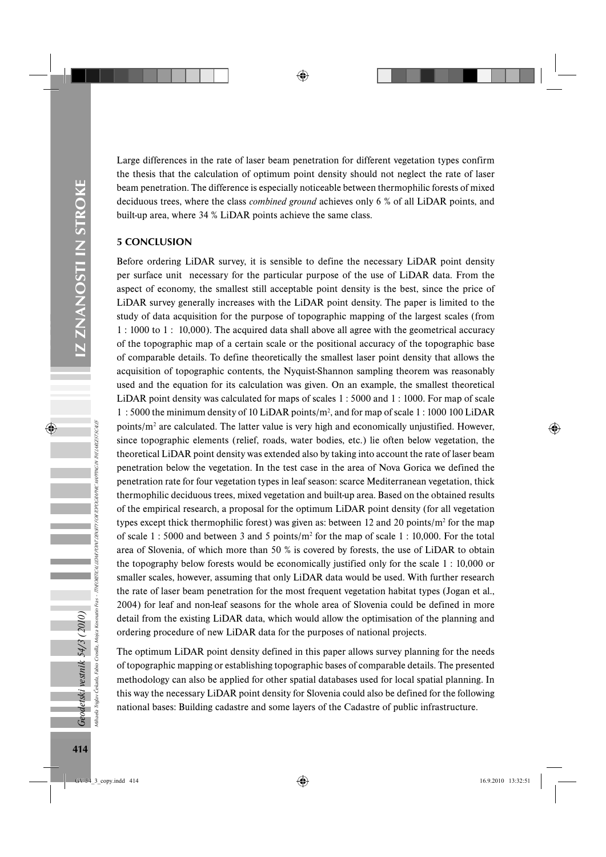Large differences in the rate of laser beam penetration for different vegetation types confirm the thesis that the calculation of optimum point density should not neglect the rate of laser beam penetration. The difference is especially noticeable between thermophilic forests of mixed deciduous trees, where the class *combined ground* achieves only 6 % of all LiDAR points, and built-up area, where 34 % LiDAR points achieve the same class.

# 5 CONCLUSION

Before ordering LiDAR survey, it is sensible to define the necessary LiDAR point density per surface unit necessary for the particular purpose of the use of LiDAR data. From the aspect of economy, the smallest still acceptable point density is the best, since the price of LiDAR survey generally increases with the LiDAR point density. The paper is limited to the study of data acquisition for the purpose of topographic mapping of the largest scales (from 1 : 1000 to 1 : 10,000). The acquired data shall above all agree with the geometrical accuracy of the topographic map of a certain scale or the positional accuracy of the topographic base of comparable details. To define theoretically the smallest laser point density that allows the acquisition of topographic contents, the Nyquist-Shannon sampling theorem was reasonably used and the equation for its calculation was given. On an example, the smallest theoretical LiDAR point density was calculated for maps of scales 1 : 5000 and 1 : 1000. For map of scale 1 : 5000 the minimum density of 10 LiDAR points/m2 , and for map of scale 1 : 1000 100 LiDAR points/ $m<sup>2</sup>$  are calculated. The latter value is very high and economically unjustified. However, since topographic elements (relief, roads, water bodies, etc.) lie often below vegetation, the theoretical LiDAR point density was extended also by taking into account the rate of laser beam penetration below the vegetation. In the test case in the area of Nova Gorica we defined the penetration rate for four vegetation types in leaf season: scarce Mediterranean vegetation, thick thermophilic deciduous trees, mixed vegetation and built-up area. Based on the obtained results of the empirical research, a proposal for the optimum LiDAR point density (for all vegetation types except thick thermophilic forest) was given as: between 12 and 20 points/ $m^2$  for the map of scale 1 : 5000 and between 3 and 5 points/ $m^2$  for the map of scale 1 : 10,000. For the total area of Slovenia, of which more than 50 % is covered by forests, the use of LiDAR to obtain the topography below forests would be economically justified only for the scale 1 : 10,000 or smaller scales, however, assuming that only LiDAR data would be used. With further research the rate of laser beam penetration for the most frequent vegetation habitat types (Jogan et al., 2004) for leaf and non-leaf seasons for the whole area of Slovenia could be defined in more detail from the existing LiDAR data, which would allow the optimisation of the planning and ordering procedure of new LiDAR data for the purposes of national projects.

The optimum LiDAR point density defined in this paper allows survey planning for the needs of topographic mapping or establishing topographic bases of comparable details. The presented methodology can also be applied for other spatial databases used for local spatial planning. In this way the necessary LiDAR point density for Slovenia could also be defined for the following national bases: Building cadastre and some layers of the Cadastre of public infrastructure.

**Geodetski vestnik 54/3 (2010)**<br><sup>Mhada Triglav Čekada, Fabio Crosilla, Mojca Kosman<br><sup>Mhada</sup> Triglav Čekada, Fabio Crosilla, Mojca Kosman</sup>

Mihaela Triglav Čekada, Fabio Crosilla, Mojca Kosmatin Fras - TTHEORETICAL LIDAR POINT DENSITY FOR TOPOGRAPHIC MAPPING IN THE LARGEST SCALES

Fras - TTHEORETICAL LIDAR POINT DENSITY FOR TOPOGRAPHIC MAPPING IN THE LARGEST SCALES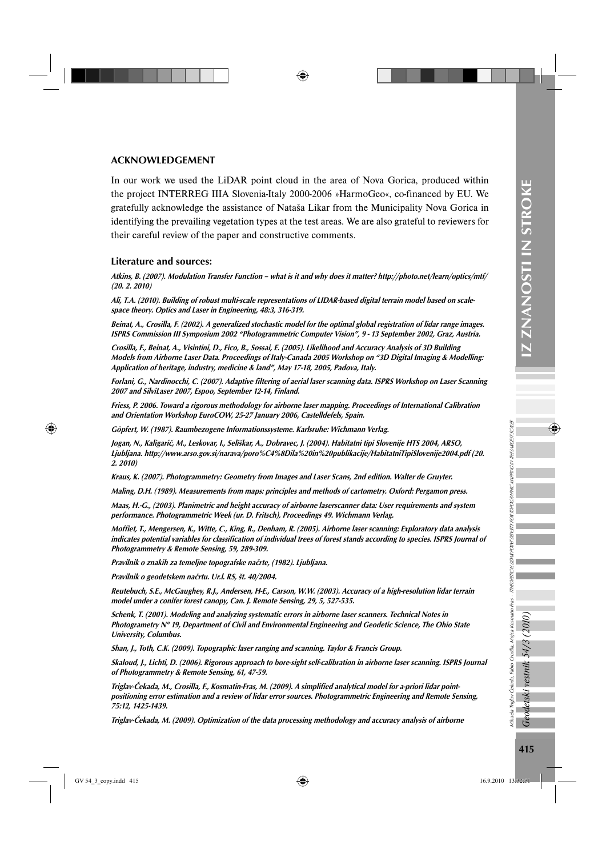## ACKNOWLEDGEMENT

In our work we used the LiDAR point cloud in the area of Nova Gorica, produced within the project INTERREG IIIA Slovenia-Italy 2000-2006 »HarmoGeo«, co-financed by EU. We gratefully acknowledge the assistance of Nataša Likar from the Municipality Nova Gorica in identifying the prevailing vegetation types at the test areas. We are also grateful to reviewers for their careful review of the paper and constructive comments.

#### Literature and sources:

Atkins, B. (2007). Modulation Transfer Function – what is it and why does it matter? http://photo.net/learn/optics/mtf/ (20. 2. 2010)

Ali, T.A. (2010). Building of robust multi-scale representations of LIDAR-based digital terrain model based on scalespace theory. Optics and Laser in Engineering, 48:3, 316-319.

Beinat, A., Crosilla, F. (2002). A generalized stochastic model for the optimal global registration of lidar range images. ISPRS Commission III Symposium 2002 "Photogrammetric Computer Vision", 9 - 13 September 2002, Graz, Austria.

Crosilla, F., Beinat, A., Visintini, D., Fico, B., Sossai, E. (2005). Likelihood and Accuracy Analysis of 3D Building Models from Airborne Laser Data. Proceedings of Italy-Canada 2005 Workshop on "3D Digital Imaging & Modelling: Application of heritage, industry, medicine & land", May 17-18, 2005, Padova, Italy.

Forlani, G., Nardinocchi, C. (2007). Adaptive filtering of aerial laser scanning data. ISPRS Workshop on Laser Scanning 2007 and SilviLaser 2007, Espoo, September 12-14, Finland.

Friess, P. 2006. Toward a rigorous methodology for airborne laser mapping. Proceedings of International Calibration and Orientation Workshop EuroCOW, 25-27 January 2006, Castelldefels, Spain.

Göpfert, W. (1987). Raumbezogene Informationssysteme. Karlsruhe: Wichmann Verlag.

Jogan, N., Kaligarič, M., Leskovar, I., Seliškar, A., Dobravec, J. (2004). Habitatni tipi Slovenije HTS 2004, ARSO, Ljubljana. http://www.arso.gov.si/narava/poro%C4%8Dila%20in%20publikacije/HabitatniTipiSlovenije2004.pdf (20. 2. 2010)

Kraus, K. (2007). Photogrammetry: Geometry from Images and Laser Scans, 2nd edition. Walter de Gruyter.

Maling, D.H. (1989). Measurements from maps: principles and methods of cartometry. Oxford: Pergamon press.

Maas, H.-G., (2003). Planimetric and height accuracy of airborne laserscanner data: User requirements and system performance. Photogrammetric Week (ur. D. Fritsch), Proceedings 49. Wichmann Verlag.

Moffiet, T., Mengersen, K., Witte, C., King, R., Denham, R. (2005). Airborne laser scanning: Exploratory data analysis indicates potential variables for classification of individual trees of forest stands according to species. ISPRS Journal of Photogrammetry & Remote Sensing, 59, 289-309.

Pravilnik o znakih za temeljne topografske načrte, (1982). Ljubljana.

Pravilnik o geodetskem načrtu. Ur.l. RS, št. 40/2004.

Reutebuch, S.E., McGaughey, R.J., Andersen, H-E., Carson, W.W. (2003). Accuracy of a high-resolution lidar terrain model under a conifer forest canopy, Can. J. Remote Sensing, 29, 5, 527-535.

Schenk, T. (2001). Modeling and analyzing systematic errors in airborne laser scanners. Technical Notes in Photogrametry N° 19, Department of Civil and Environmental Engineering and Geodetic Science, The Ohio State University, Columbus.

Shan, J., Toth, C.K. (2009). Topographic laser ranging and scanning. Taylor & Francis Group.

Skaloud, J., Lichti, D. (2006). Rigorous approach to bore-sight self-calibration in airborne laser scanning. ISPRS Journal of Photogrammetry & Remote Sensing, 61, 47-59.

Triglav-Čekada, M., Crosilla, F., Kosmatin-Fras, M. (2009). A simplified analytical model for a-priori lidar pointpositioning error estimation and a review of lidar error sources. Photogrammetric Engineering and Remote Sensing, 75:12, 1425-1439.

Triglav-Čekada, M. (2009). Optimization of the data processing methodology and accuracy analysis of airborne

Mihaela Triglav Čekada, Fabio Crosilla, Mojca Kosmatin Fras - TTHEORETICAL LIDAR POINT DENSITY FOR TOPOGRAPHIC MAPPING IN THE LARGEST SCALES

Mihaela Triglav Čekada, Fabio Crosilla, Mojca Kosmatin Fras -

TTHEORETICAL LIDAR PONVT DENSITY FOR TOPOGRAPHIC MAPPING IN THE LARGEST SCALES